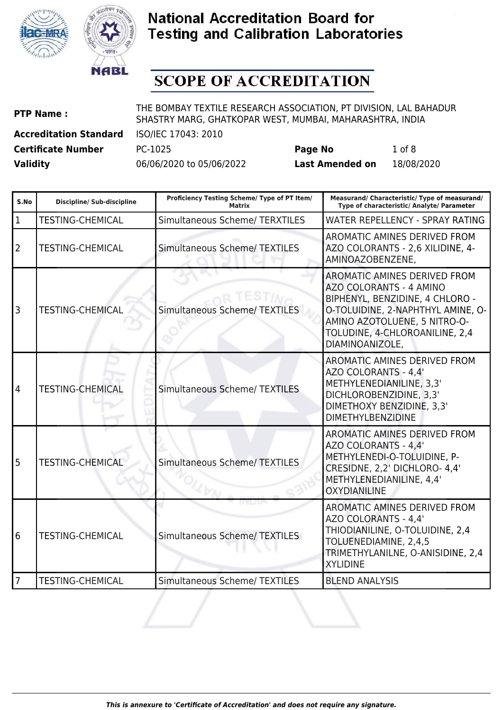



# **SCOPE OF ACCREDITATION**

| <b>PTP Name:</b>              | THE BOMBAY TEXTILE RESEARCH ASSOCIATION, PT DIVISION, LAL BAHADUR<br>SHASTRY MARG, GHATKOPAR WEST, MUMBAI, MAHARASHTRA, INDIA |
|-------------------------------|-------------------------------------------------------------------------------------------------------------------------------|
| <b>Accreditation Standard</b> | ISO/IEC 17043: 2010                                                                                                           |

**Certificate Number** PC-1025 **Page No** 1 of 8

| S.No         | Discipline/ Sub-discipline | Proficiency Testing Scheme/ Type of PT Item/<br><b>Matrix</b> | Measurand/ Characteristic/ Type of measurand/<br>Type of characteristic/ Analyte/ Parameter                                                                                                                                 |
|--------------|----------------------------|---------------------------------------------------------------|-----------------------------------------------------------------------------------------------------------------------------------------------------------------------------------------------------------------------------|
| $\mathbf{1}$ | <b>TESTING-CHEMICAL</b>    | <b>Simultaneous Scheme/ TERXTILES</b>                         | WATER REPELLENCY - SPRAY RATING                                                                                                                                                                                             |
| 2            | <b>TESTING-CHEMICAL</b>    | <b>Simultaneous Scheme/ TEXTILES</b>                          | <b>AROMATIC AMINES DERIVED FROM</b><br>AZO COLORANTS - 2,6 XILIDINE, 4-<br>AMINOAZOBENZENE,                                                                                                                                 |
| 3            | <b>TESTING-CHEMICAL</b>    | Simultaneous Scheme/ TEXTILES                                 | <b>AROMATIC AMINES DERIVED FROM</b><br>AZO COLORANTS - 4 AMINO<br>BIPHENYL, BENZIDINE, 4 CHLORO -<br>O-TOLUIDINE, 2-NAPHTHYL AMINE, O-<br>AMINO AZOTOLUENE, 5 NITRO-O-<br>TOLUDINE, 4-CHLOROANILINE, 2,4<br>DIAMINOANIZOLE, |
| 4            | <b>TESTING-CHEMICAL</b>    | <b>Simultaneous Scheme/ TEXTILES</b>                          | <b>AROMATIC AMINES DERIVED FROM</b><br>AZO COLORANTS - 4,4'<br>METHYLENEDIANILINE, 3,3'<br>DICHLOROBENZIDINE, 3,3'<br>DIMETHOXY BENZIDINE, 3,3'<br><b>DIMETHYLBENZIDINE</b>                                                 |
| 5            | <b>TESTING-CHEMICAL</b>    | <b>Simultaneous Scheme/ TEXTILES</b>                          | AROMATIC AMINES DERIVED FROM<br>AZO COLORANTS - 4,4'<br>METHYLENEDI-O-TOLUIDINE, P-<br>CRESIDNE, 2,2' DICHLORO- 4,4'<br>METHYLENEDIANILINE, 4,4'<br><b>OXYDIANILINE</b>                                                     |
| 6            | <b>TESTING-CHEMICAL</b>    | Simultaneous Scheme/ TEXTILES                                 | <b>AROMATIC AMINES DERIVED FROM</b><br>AZO COLORANTS - 4,4'<br>THIODIANILINE, O-TOLUIDINE, 2,4<br>TOLUENEDIAMINE, 2,4,5<br>TRIMETHYLANILNE, O-ANISIDINE, 2,4<br><b>XYLIDINE</b>                                             |
| 7            | <b>TESTING-CHEMICAL</b>    | <b>Simultaneous Scheme/ TEXTILES</b>                          | <b>BLEND ANALYSIS</b>                                                                                                                                                                                                       |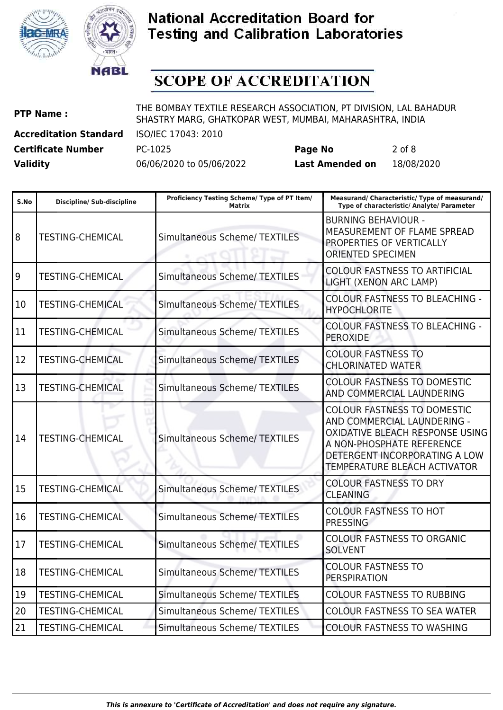



# **SCOPE OF ACCREDITATION**

**PTP Name :** THE BOMBAY TEXTILE RESEARCH ASSOCIATION, PT DIVISION, LAL BAHADUR SHASTRY MARG, GHATKOPAR WEST, MUMBAI, MAHARASHTRA, INDIA

**Accreditation Standard** ISO/IEC 17043: 2010 **Certificate Number** PC-1025 **Page No** 2 of 8

| S.No | <b>Discipline/ Sub-discipline</b> | Proficiency Testing Scheme/ Type of PT Item/<br><b>Matrix</b> | Measurand/ Characteristic/ Type of measurand/<br>Type of characteristic/ Analyte/ Parameter                                                                                                        |
|------|-----------------------------------|---------------------------------------------------------------|----------------------------------------------------------------------------------------------------------------------------------------------------------------------------------------------------|
| 8    | <b>TESTING-CHEMICAL</b>           | <b>Simultaneous Scheme/ TEXTILES</b>                          | <b>BURNING BEHAVIOUR -</b><br>MEASUREMENT OF FLAME SPREAD<br>PROPERTIES OF VERTICALLY<br><b>ORIENTED SPECIMEN</b>                                                                                  |
| 9    | <b>TESTING-CHEMICAL</b>           | <b>Simultaneous Scheme/ TEXTILES</b>                          | <b>COLOUR FASTNESS TO ARTIFICIAL</b><br>LIGHT (XENON ARC LAMP)                                                                                                                                     |
| 10   | <b>TESTING-CHEMICAL</b>           | Simultaneous Scheme/ TEXTILES                                 | <b>COLOUR FASTNESS TO BLEACHING -</b><br><b>HYPOCHLORITE</b>                                                                                                                                       |
| 11   | <b>TESTING-CHEMICAL</b>           | <b>Simultaneous Scheme/ TEXTILES</b>                          | <b>COLOUR FASTNESS TO BLEACHING -</b><br><b>PEROXIDE</b>                                                                                                                                           |
| 12   | <b>TESTING-CHEMICAL</b>           | <b>Simultaneous Scheme/ TEXTILES</b>                          | <b>COLOUR FASTNESS TO</b><br><b>CHLORINATED WATER</b>                                                                                                                                              |
| 13   | <b>TESTING-CHEMICAL</b>           | <b>Simultaneous Scheme/ TEXTILES</b>                          | <b>COLOUR FASTNESS TO DOMESTIC</b><br>AND COMMERCIAL LAUNDERING                                                                                                                                    |
| 14   | <b>TESTING-CHEMICAL</b>           | <b>Simultaneous Scheme/ TEXTILES</b>                          | <b>COLOUR FASTNESS TO DOMESTIC</b><br>AND COMMERCIAL LAUNDERING -<br>OXIDATIVE BLEACH RESPONSE USING<br>A NON-PHOSPHATE REFERENCE<br>DETERGENT INCORPORATING A LOW<br>TEMPERATURE BLEACH ACTIVATOR |
| 15   | <b>TESTING-CHEMICAL</b>           | <b>Simultaneous Scheme/ TEXTILES</b>                          | <b>COLOUR FASTNESS TO DRY</b><br><b>CLEANING</b>                                                                                                                                                   |
| 16   | <b>TESTING-CHEMICAL</b>           | <b>Simultaneous Scheme/ TEXTILES</b>                          | <b>COLOUR FASTNESS TO HOT</b><br><b>PRESSING</b>                                                                                                                                                   |
| 17   | <b>TESTING-CHEMICAL</b>           | <b>Simultaneous Scheme/ TEXTILES</b>                          | <b>COLOUR FASTNESS TO ORGANIC</b><br><b>SOLVENT</b>                                                                                                                                                |
| 18   | <b>TESTING-CHEMICAL</b>           | <b>Simultaneous Scheme/ TEXTILES</b>                          | <b>COLOUR FASTNESS TO</b><br><b>PERSPIRATION</b>                                                                                                                                                   |
| 19   | <b>TESTING-CHEMICAL</b>           | <b>Simultaneous Scheme/ TEXTILES</b>                          | <b>COLOUR FASTNESS TO RUBBING</b>                                                                                                                                                                  |
| 20   | <b>TESTING-CHEMICAL</b>           | Simultaneous Scheme/ TEXTILES                                 | <b>COLOUR FASTNESS TO SEA WATER</b>                                                                                                                                                                |
| 21   | <b>TESTING-CHEMICAL</b>           | <b>Simultaneous Scheme/ TEXTILES</b>                          | <b>COLOUR FASTNESS TO WASHING</b>                                                                                                                                                                  |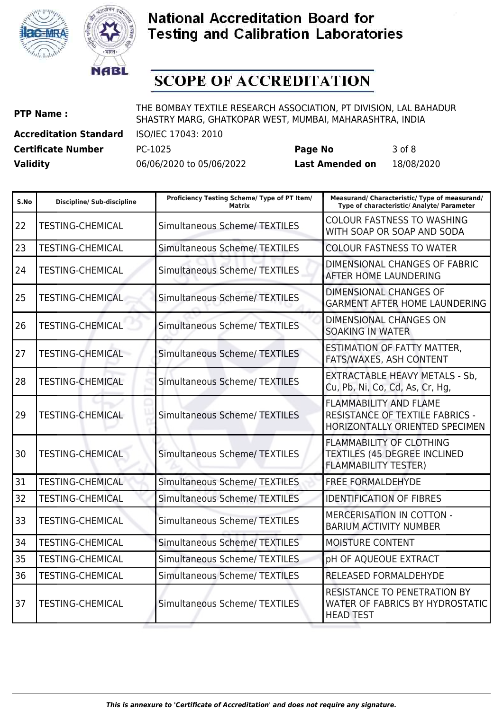



# **SCOPE OF ACCREDITATION**

**PTP Name :** THE BOMBAY TEXTILE RESEARCH ASSOCIATION, PT DIVISION, LAL BAHADUR SHASTRY MARG, GHATKOPAR WEST, MUMBAI, MAHARASHTRA, INDIA

**Accreditation Standard** ISO/IEC 17043: 2010

**Certificate Number** PC-1025 **Page No** 3 of 8

| S.No | <b>Discipline/ Sub-discipline</b> | Proficiency Testing Scheme/ Type of PT Item/<br><b>Matrix</b> | Measurand/ Characteristic/ Type of measurand/<br>Type of characteristic/ Analyte/ Parameter           |
|------|-----------------------------------|---------------------------------------------------------------|-------------------------------------------------------------------------------------------------------|
| 22   | <b>TESTING-CHEMICAL</b>           | <b>Simultaneous Scheme/ TEXTILES</b>                          | <b>COLOUR FASTNESS TO WASHING</b><br>WITH SOAP OR SOAP AND SODA                                       |
| 23   | <b>TESTING-CHEMICAL</b>           | <b>Simultaneous Scheme/ TEXTILES</b>                          | <b>COLOUR FASTNESS TO WATER</b>                                                                       |
| 24   | <b>TESTING-CHEMICAL</b>           | <b>Simultaneous Scheme/ TEXTILES</b>                          | DIMENSIONAL CHANGES OF FABRIC<br><b>AFTER HOME LAUNDERING</b>                                         |
| 25   | <b>TESTING-CHEMICAL</b>           | <b>Simultaneous Scheme/ TEXTILES</b>                          | DIMENSIONAL CHANGES OF<br><b>GARMENT AFTER HOME LAUNDERING</b>                                        |
| 26   | <b>TESTING-CHEMICAL</b>           | <b>Simultaneous Scheme/ TEXTILES</b>                          | DIMENSIONAL CHANGES ON<br><b>SOAKING IN WATER</b>                                                     |
| 27   | <b>TESTING-CHEMICAL</b>           | <b>Simultaneous Scheme/ TEXTILES</b>                          | <b>ESTIMATION OF FATTY MATTER,</b><br>FATS/WAXES, ASH CONTENT                                         |
| 28   | <b>TESTING-CHEMICAL</b>           | <b>Simultaneous Scheme/ TEXTILES</b>                          | <b>EXTRACTABLE HEAVY METALS - Sb,</b><br>Cu, Pb, Ni, Co, Cd, As, Cr, Hg,                              |
| 29   | <b>TESTING-CHEMICAL</b>           | <b>Simultaneous Scheme/ TEXTILES</b>                          | <b>FLAMMABILITY AND FLAME</b><br>RESISTANCE OF TEXTILE FABRICS -<br>HORIZONTALLY ORIENTED SPECIMEN    |
| 30   | <b>TESTING-CHEMICAL</b>           | <b>Simultaneous Scheme/ TEXTILES</b>                          | <b>FLAMMABILITY OF CLOTHING</b><br><b>TEXTILES (45 DEGREE INCLINED</b><br><b>FLAMMABILITY TESTER)</b> |
| 31   | <b>TESTING-CHEMICAL</b>           | <b>Simultaneous Scheme/ TEXTILES</b>                          | <b>FREE FORMALDEHYDE</b>                                                                              |
| 32   | <b>TESTING-CHEMICAL</b>           | <b>Simultaneous Scheme/ TEXTILES</b>                          | <b>IDENTIFICATION OF FIBRES</b>                                                                       |
| 33   | <b>TESTING-CHEMICAL</b>           | <b>Simultaneous Scheme/ TEXTILES</b>                          | MERCERISATION IN COTTON -<br><b>BARIUM ACTIVITY NUMBER</b>                                            |
| 34   | <b>TESTING-CHEMICAL</b>           | <b>Simultaneous Scheme/ TEXTILES</b>                          | MOISTURE CONTENT                                                                                      |
| 35   | <b>TESTING-CHEMICAL</b>           | <b>Simultaneous Scheme/ TEXTILES</b>                          | pH OF AQUEOUE EXTRACT                                                                                 |
| 36   | <b>TESTING-CHEMICAL</b>           | <b>Simultaneous Scheme/ TEXTILES</b>                          | RELEASED FORMALDEHYDE                                                                                 |
| 37   | <b>TESTING-CHEMICAL</b>           | <b>Simultaneous Scheme/ TEXTILES</b>                          | RESISTANCE TO PENETRATION BY<br>WATER OF FABRICS BY HYDROSTATIC<br><b>HEAD TEST</b>                   |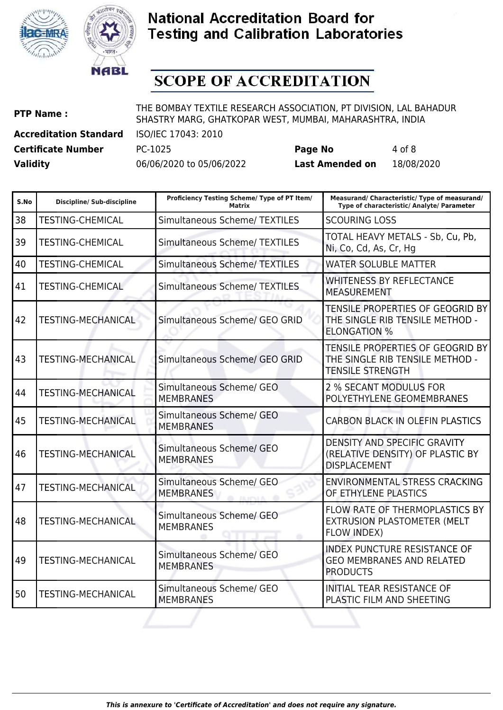



# **SCOPE OF ACCREDITATION**

**PTP Name :** THE BOMBAY TEXTILE RESEARCH ASSOCIATION, PT DIVISION, LAL BAHADUR SHASTRY MARG, GHATKOPAR WEST, MUMBAI, MAHARASHTRA, INDIA

**Certificate Number** PC-1025 **Page No** 4 of 8

**Accreditation Standard** ISO/IEC 17043: 2010

| S.No | <b>Discipline/ Sub-discipline</b> | Proficiency Testing Scheme/ Type of PT Item/<br><b>Matrix</b>   | Measurand/ Characteristic/ Type of measurand/<br>Type of characteristic/ Analyte/ Parameter    |
|------|-----------------------------------|-----------------------------------------------------------------|------------------------------------------------------------------------------------------------|
| 38   | <b>TESTING-CHEMICAL</b>           | <b>Simultaneous Scheme/ TEXTILES</b>                            | <b>SCOURING LOSS</b>                                                                           |
| 39   | <b>TESTING-CHEMICAL</b>           | <b>Simultaneous Scheme/ TEXTILES</b>                            | TOTAL HEAVY METALS - Sb, Cu, Pb,<br>Ni, Co, Cd, As, Cr, Hg                                     |
| 40   | <b>TESTING-CHEMICAL</b>           | <b>Simultaneous Scheme/ TEXTILES</b>                            | <b>WATER SOLUBLE MATTER</b>                                                                    |
| 41   | <b>TESTING-CHEMICAL</b>           | <b>Simultaneous Scheme/ TEXTILES</b>                            | <b>WHITENESS BY REFLECTANCE</b><br><b>MEASUREMENT</b>                                          |
| 42   | <b>TESTING-MECHANICAL</b>         | Simultaneous Scheme/ GEO GRID                                   | TENSILE PROPERTIES OF GEOGRID BY<br>THE SINGLE RIB TENSILE METHOD -<br><b>ELONGATION %</b>     |
| 43   | <b>TESTING-MECHANICAL</b>         | Simultaneous Scheme/ GEO GRID                                   | TENSILE PROPERTIES OF GEOGRID BY<br>THE SINGLE RIB TENSILE METHOD -<br><b>TENSILE STRENGTH</b> |
| 44   | <b>TESTING-MECHANICAL</b>         | Simultaneous Scheme/ GEO<br><b>MEMBRANES</b>                    | 2 % SECANT MODULUS FOR<br>POLYETHYLENE GEOMEMBRANES                                            |
| l 45 | <b>TESTING-MECHANICAL</b>         | Simultaneous Scheme/ GEO<br><b>MEMBRANES</b>                    | <b>CARBON BLACK IN OLEFIN PLASTICS</b>                                                         |
| 46   | <b>TESTING-MECHANICAL</b>         | Simultaneous Scheme/ GEO<br><b>MEMBRANES</b>                    | DENSITY AND SPECIFIC GRAVITY<br>(RELATIVE DENSITY) OF PLASTIC BY<br><b>DISPLACEMENT</b>        |
| 47   | <b>TESTING-MECHANICAL</b>         | Simultaneous Scheme/ GEO<br><b>MEMBRANES</b><br><b>TA SPAIN</b> | <b>ENVIRONMENTAL STRESS CRACKING</b><br>OF ETHYLENE PLASTICS                                   |
| 48   | <b>TESTING-MECHANICAL</b>         | Simultaneous Scheme/ GEO<br><b>MEMBRANES</b>                    | FLOW RATE OF THERMOPLASTICS BY<br>EXTRUSION PLASTOMETER (MELT<br><b>FLOW INDEX)</b>            |
| 49   | <b>TESTING-MECHANICAL</b>         | Simultaneous Scheme/ GEO<br><b>MEMBRANES</b>                    | <b>INDEX PUNCTURE RESISTANCE OF</b><br><b>GEO MEMBRANES AND RELATED</b><br><b>PRODUCTS</b>     |
| 50   | <b>TESTING-MECHANICAL</b>         | Simultaneous Scheme/ GEO<br><b>MEMBRANES</b>                    | INITIAL TEAR RESISTANCE OF<br>PLASTIC FILM AND SHEETING                                        |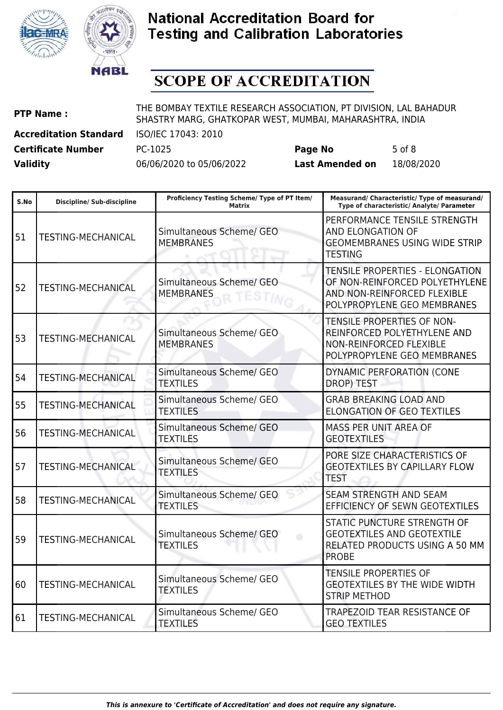



# **SCOPE OF ACCREDITATION**

| <b>PTP Name:</b> |  |
|------------------|--|
|------------------|--|

THE BOMBAY TEXTILE RESEARCH ASSOCIATION, PT DIVISION, LAL BAHADUR SHASTRY MARG, GHATKOPAR WEST, MUMBAI, MAHARASHTRA, INDIA

**Accreditation Standard** ISO/IEC 17043: 2010

**Certificate Number** PC-1025 **Page No** 5 of 8 **Validity** 06/06/2020 to 05/06/2022 **Last Amended on** 18/08/2020

| S.No | <b>Discipline/ Sub-discipline</b> | Proficiency Testing Scheme/ Type of PT Item/<br><b>Matrix</b> | Measurand/ Characteristic/ Type of measurand/<br>Type of characteristic/ Analyte/ Parameter                                            |
|------|-----------------------------------|---------------------------------------------------------------|----------------------------------------------------------------------------------------------------------------------------------------|
| 51   | <b>TESTING-MECHANICAL</b>         | Simultaneous Scheme/ GEO<br><b>MEMBRANES</b>                  | PERFORMANCE TENSILE STRENGTH<br>AND ELONGATION OF<br><b>GEOMEMBRANES USING WIDE STRIP</b><br><b>TESTING</b>                            |
| 52   | <b>TESTING-MECHANICAL</b>         | Simultaneous Scheme/ GEO<br><b>MEMBRANES</b>                  | <b>TENSILE PROPERTIES - ELONGATION</b><br>OF NON-REINFORCED POLYETHYLENE<br>AND NON-REINFORCED FLEXIBLE<br>POLYPROPYLENE GEO MEMBRANES |
| 53   | <b>TESTING-MECHANICAL</b>         | Simultaneous Scheme/ GEO<br><b>MEMBRANES</b>                  | TENSILE PROPERTIES OF NON-<br>REINFORCED POLYETHYLENE AND<br><b>NON-REINFORCED FLEXIBLE</b><br>POLYPROPYLENE GEO MEMBRANES             |
| 54   | <b>TESTING-MECHANICAL</b>         | Simultaneous Scheme/ GEO<br><b>TEXTILES</b>                   | DYNAMIC PERFORATION (CONE<br>DROP) TEST                                                                                                |
| 55   | <b>TESTING-MECHANICAL</b>         | Simultaneous Scheme/ GEO<br><b>TEXTILES</b>                   | <b>GRAB BREAKING LOAD AND</b><br><b>ELONGATION OF GEO TEXTILES</b>                                                                     |
| 56   | <b>TESTING-MECHANICAL</b>         | Simultaneous Scheme/ GEO<br><b>TEXTILES</b>                   | <b>MASS PER UNIT AREA OF</b><br><b>GEOTEXTILES</b>                                                                                     |
| 57   | <b>TESTING-MECHANICAL</b>         | Simultaneous Scheme/ GEO<br><b>TEXTILES</b>                   | PORE SIZE CHARACTERISTICS OF<br><b>GEOTEXTILES BY CAPILLARY FLOW</b><br><b>TEST</b>                                                    |
| 58   | <b>TESTING-MECHANICAL</b>         | Simultaneous Scheme/ GEO<br><b>TEXTILES</b>                   | <b>SEAM STRENGTH AND SEAM</b><br>EFFICIENCY OF SEWN GEOTEXTILES                                                                        |
| 59   | <b>TESTING-MECHANICAL</b>         | Simultaneous Scheme/ GEO<br>۵<br><b>TEXTILES</b>              | STATIC PUNCTURE STRENGTH OF<br><b>GEOTEXTILES AND GEOTEXTILE</b><br>RELATED PRODUCTS USING A 50 MM<br><b>PROBE</b>                     |
| 60   | <b>TESTING-MECHANICAL</b>         | Simultaneous Scheme/ GEO<br><b>TEXTILES</b>                   | <b>TENSILE PROPERTIES OF</b><br><b>GEOTEXTILES BY THE WIDE WIDTH</b><br><b>STRIP METHOD</b>                                            |
| 61   | TESTING-MECHANICAL                | Simultaneous Scheme/ GEO<br><b>TEXTILES</b>                   | <b>TRAPEZOID TEAR RESISTANCE OF</b><br><b>GEO TEXTILES</b>                                                                             |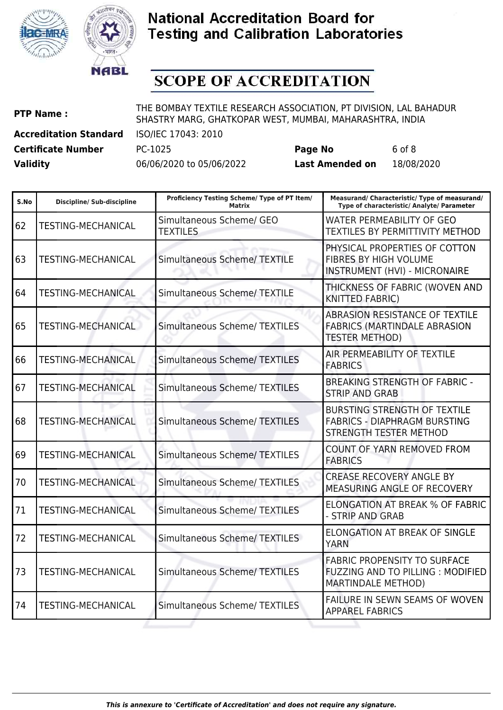



# **SCOPE OF ACCREDITATION**

**PTP Name :** THE BOMBAY TEXTILE RESEARCH ASSOCIATION, PT DIVISION, LAL BAHADUR SHASTRY MARG, GHATKOPAR WEST, MUMBAI, MAHARASHTRA, INDIA

**Certificate Number** PC-1025 **Page No** 6 of 8

**Accreditation Standard** ISO/IEC 17043: 2010

| S.No | <b>Discipline/ Sub-discipline</b> | Proficiency Testing Scheme/ Type of PT Item/<br><b>Matrix</b> | Measurand/ Characteristic/ Type of measurand/<br>Type of characteristic/ Analyte/ Parameter                  |
|------|-----------------------------------|---------------------------------------------------------------|--------------------------------------------------------------------------------------------------------------|
| 62   | <b>TESTING-MECHANICAL</b>         | Simultaneous Scheme/ GEO<br><b>TEXTILES</b>                   | WATER PERMEABILITY OF GEO<br><b>TEXTILES BY PERMITTIVITY METHOD</b>                                          |
| 63   | <b>TESTING-MECHANICAL</b>         | Simultaneous Scheme/ TEXTILE                                  | PHYSICAL PROPERTIES OF COTTON<br>FIBRES BY HIGH VOLUME<br>INSTRUMENT (HVI) - MICRONAIRE                      |
| 64   | <b>TESTING-MECHANICAL</b>         | <b>Simultaneous Scheme/ TEXTILE</b>                           | THICKNESS OF FABRIC (WOVEN AND<br><b>KNITTED FABRIC)</b>                                                     |
| 65   | <b>TESTING-MECHANICAL</b>         | <b>Simultaneous Scheme/ TEXTILES</b>                          | ABRASION RESISTANCE OF TEXTILE<br><b>FABRICS (MARTINDALE ABRASION</b><br><b>TESTER METHOD)</b>               |
| 66   | <b>TESTING-MECHANICAL</b>         | <b>Simultaneous Scheme/ TEXTILES</b>                          | AIR PERMEABILITY OF TEXTILE<br><b>FABRICS</b>                                                                |
| 67   | <b>TESTING-MECHANICAL</b>         | <b>Simultaneous Scheme/ TEXTILES</b>                          | <b>BREAKING STRENGTH OF FABRIC -</b><br><b>STRIP AND GRAB</b>                                                |
| 68   | <b>TESTING-MECHANICAL</b>         | <b>Simultaneous Scheme/ TEXTILES</b>                          | <b>BURSTING STRENGTH OF TEXTILE</b><br><b>FABRICS - DIAPHRAGM BURSTING</b><br>STRENGTH TESTER METHOD         |
| 69   | <b>TESTING-MECHANICAL</b>         | <b>Simultaneous Scheme/ TEXTILES</b>                          | <b>COUNT OF YARN REMOVED FROM</b><br><b>FABRICS</b>                                                          |
| 70   | <b>TESTING-MECHANICAL</b>         | <b>Simultaneous Scheme/ TEXTILES</b>                          | <b>CREASE RECOVERY ANGLE BY</b><br>MEASURING ANGLE OF RECOVERY                                               |
| 71   | <b>TESTING-MECHANICAL</b>         | <b>Simultaneous Scheme/ TEXTILES</b>                          | <b>ELONGATION AT BREAK % OF FABRIC</b><br>- STRIP AND GRAB                                                   |
| 72   | <b>TESTING-MECHANICAL</b>         | <b>Simultaneous Scheme/ TEXTILES</b>                          | <b>ELONGATION AT BREAK OF SINGLE</b><br><b>YARN</b>                                                          |
| 73   | <b>TESTING-MECHANICAL</b>         | <b>Simultaneous Scheme/ TEXTILES</b>                          | <b>FABRIC PROPENSITY TO SURFACE</b><br><b>FUZZING AND TO PILLING : MODIFIED</b><br><b>MARTINDALE METHOD)</b> |
| 74   | <b>TESTING-MECHANICAL</b>         | <b>Simultaneous Scheme/ TEXTILES</b>                          | FAILURE IN SEWN SEAMS OF WOVEN<br><b>APPAREL FABRICS</b>                                                     |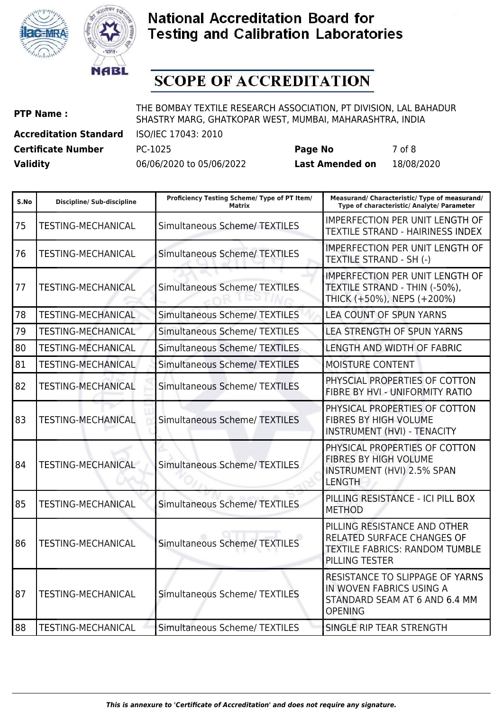

![](_page_6_Picture_1.jpeg)

# **SCOPE OF ACCREDITATION**

**PTP Name :** THE BOMBAY TEXTILE RESEARCH ASSOCIATION, PT DIVISION, LAL BAHADUR SHASTRY MARG, GHATKOPAR WEST, MUMBAI, MAHARASHTRA, INDIA

**Certificate Number** PC-1025 **Page No** 7 of 8

**Accreditation Standard** ISO/IEC 17043: 2010

| S.No | <b>Discipline/ Sub-discipline</b> | Proficiency Testing Scheme/ Type of PT Item/<br>Matrix | Measurand/ Characteristic/ Type of measurand/<br>Type of characteristic/ Analyte/ Parameter                                  |
|------|-----------------------------------|--------------------------------------------------------|------------------------------------------------------------------------------------------------------------------------------|
| 75   | <b>TESTING-MECHANICAL</b>         | <b>Simultaneous Scheme/ TEXTILES</b>                   | <b>IMPERFECTION PER UNIT LENGTH OF</b><br>TEXTILE STRAND - HAIRINESS INDEX                                                   |
| 76   | <b>TESTING-MECHANICAL</b>         | <b>Simultaneous Scheme/ TEXTILES</b>                   | <b>IMPERFECTION PER UNIT LENGTH OF</b><br>TEXTILE STRAND - SH (-)                                                            |
| 77   | <b>TESTING-MECHANICAL</b>         | <b>Simultaneous Scheme/ TEXTILES</b>                   | <b>IMPERFECTION PER UNIT LENGTH OF</b><br>TEXTILE STRAND - THIN (-50%),<br>THICK (+50%), NEPS (+200%)                        |
| 78   | <b>TESTING-MECHANICAL</b>         | <b>Simultaneous Scheme/ TEXTILES</b>                   | LEA COUNT OF SPUN YARNS                                                                                                      |
| 79   | <b>TESTING-MECHANICAL</b>         | <b>Simultaneous Scheme/ TEXTILES</b>                   | LEA STRENGTH OF SPUN YARNS                                                                                                   |
| 80   | <b>TESTING-MECHANICAL</b>         | <b>Simultaneous Scheme/ TEXTILES</b>                   | LENGTH AND WIDTH OF FABRIC                                                                                                   |
| 81   | <b>TESTING-MECHANICAL</b>         | <b>Simultaneous Scheme/ TEXTILES</b>                   | <b>MOISTURE CONTENT</b>                                                                                                      |
| 82   | <b>TESTING-MECHANICAL</b>         | <b>Simultaneous Scheme/ TEXTILES</b>                   | PHYSCIAL PROPERTIES OF COTTON<br>FIBRE BY HVI - UNIFORMITY RATIO                                                             |
| 83   | <b>TESTING-MECHANICAL</b>         | <b>Simultaneous Scheme/ TEXTILES</b>                   | PHYSICAL PROPERTIES OF COTTON<br><b>FIBRES BY HIGH VOLUME</b><br>INSTRUMENT (HVI) - TENACITY                                 |
| 84   | TESTING-MECHANICAL                | <b>Simultaneous Scheme/ TEXTILES</b>                   | PHYSICAL PROPERTIES OF COTTON<br><b>FIBRES BY HIGH VOLUME</b><br><b>INSTRUMENT (HVI) 2.5% SPAN</b><br><b>LENGTH</b>          |
| 85   | <b>TESTING-MECHANICAL</b>         | <b>Simultaneous Scheme/ TEXTILES</b>                   | PILLING RESISTANCE - ICI PILL BOX<br><b>METHOD</b>                                                                           |
| 86   | <b>TESTING-MECHANICAL</b>         | <b>Simultaneous Scheme/ TEXTILES</b>                   | PILLING RESISTANCE AND OTHER<br><b>RELATED SURFACE CHANGES OF</b><br><b>TEXTILE FABRICS: RANDOM TUMBLE</b><br>PILLING TESTER |
| 87   | <b>TESTING-MECHANICAL</b>         | <b>Simultaneous Scheme/ TEXTILES</b>                   | RESISTANCE TO SLIPPAGE OF YARNS<br>IN WOVEN FABRICS USING A<br>STANDARD SEAM AT 6 AND 6.4 MM<br><b>OPENING</b>               |
| 88   | <b>TESTING-MECHANICAL</b>         | <b>Simultaneous Scheme/ TEXTILES</b>                   | SINGLE RIP TEAR STRENGTH                                                                                                     |